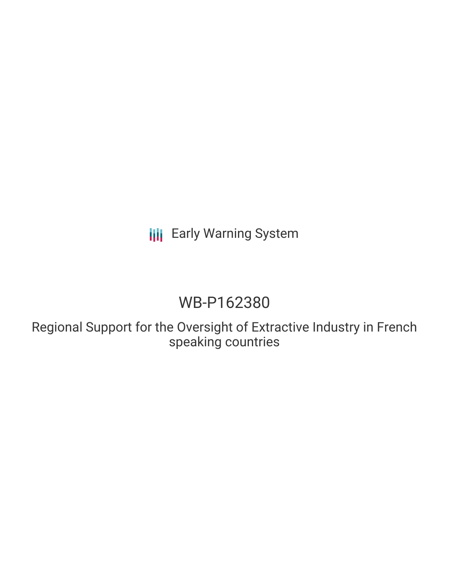# **III** Early Warning System

# WB-P162380

Regional Support for the Oversight of Extractive Industry in French speaking countries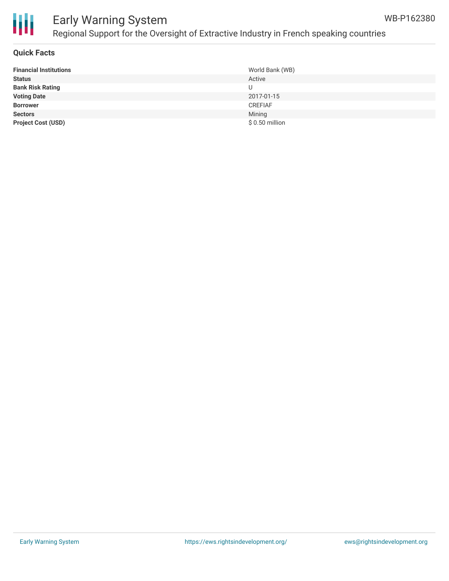

## Early Warning System Regional Support for the Oversight of Extractive Industry in French speaking countries

#### **Quick Facts**

| <b>Financial Institutions</b> | World Bank (WB) |
|-------------------------------|-----------------|
| <b>Status</b>                 | Active          |
| <b>Bank Risk Rating</b>       |                 |
| <b>Voting Date</b>            | 2017-01-15      |
| <b>Borrower</b>               | <b>CREFIAF</b>  |
| <b>Sectors</b>                | Mining          |
| <b>Project Cost (USD)</b>     | $$0.50$ million |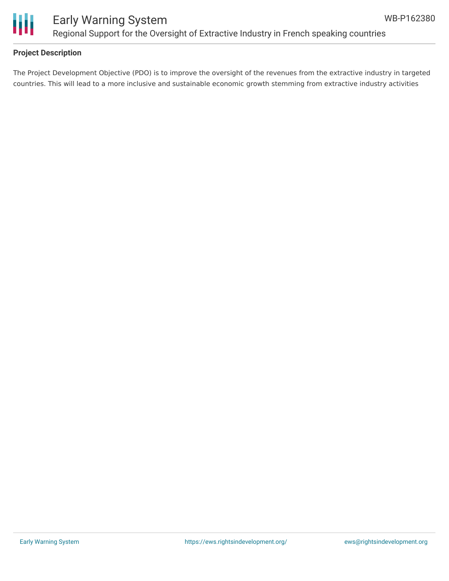

### Early Warning System Regional Support for the Oversight of Extractive Industry in French speaking countries

### **Project Description**

The Project Development Objective (PDO) is to improve the oversight of the revenues from the extractive industry in targeted countries. This will lead to a more inclusive and sustainable economic growth stemming from extractive industry activities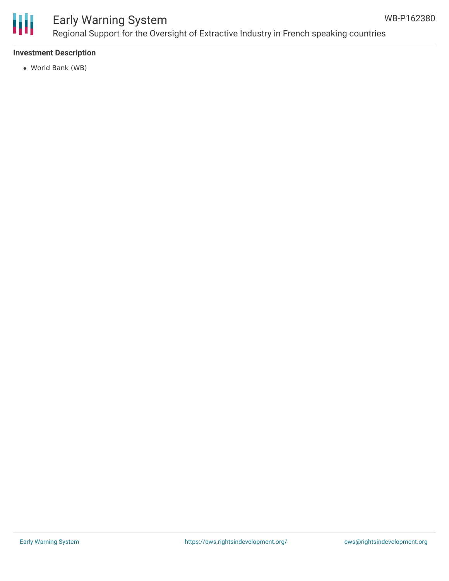

### Early Warning System Regional Support for the Oversight of Extractive Industry in French speaking countries

### **Investment Description**

World Bank (WB)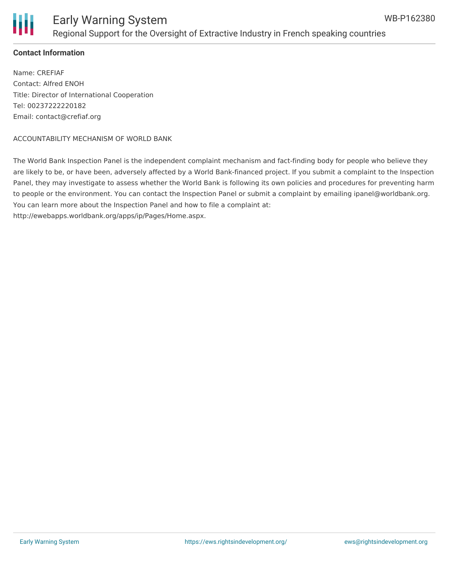

### **Contact Information**

Name: CREFIAF Contact: Alfred ENOH Title: Director of International Cooperation Tel: 00237222220182 Email: contact@crefiaf.org

#### ACCOUNTABILITY MECHANISM OF WORLD BANK

The World Bank Inspection Panel is the independent complaint mechanism and fact-finding body for people who believe they are likely to be, or have been, adversely affected by a World Bank-financed project. If you submit a complaint to the Inspection Panel, they may investigate to assess whether the World Bank is following its own policies and procedures for preventing harm to people or the environment. You can contact the Inspection Panel or submit a complaint by emailing ipanel@worldbank.org. You can learn more about the Inspection Panel and how to file a complaint at: http://ewebapps.worldbank.org/apps/ip/Pages/Home.aspx.